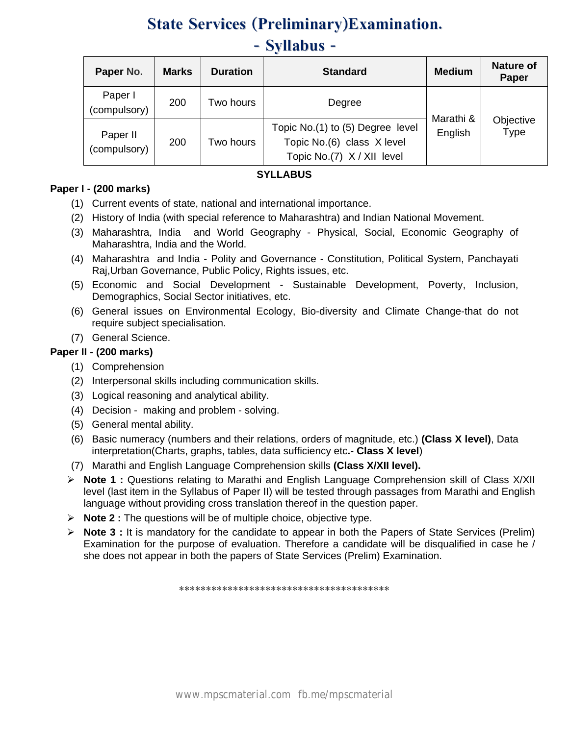# **State Services (Preliminary)Examination. - Syllabus -**

| Paper No.                | <b>Marks</b> | <b>Duration</b>                                                                                           | <b>Standard</b> | <b>Medium</b>        | <b>Nature of</b><br>Paper |
|--------------------------|--------------|-----------------------------------------------------------------------------------------------------------|-----------------|----------------------|---------------------------|
| Paper I<br>(compulsory)  | 200          | Two hours                                                                                                 | Degree          |                      |                           |
| Paper II<br>(compulsory) | 200          | Topic No.(1) to (5) Degree level<br>Topic No.(6) class X level<br>Two hours<br>Topic No.(7) X / XII level |                 | Marathi &<br>English | Objective<br>Type         |

## **SYLLABUS**

## **Paper I - (200 marks)**

- (1) Current events of state, national and international importance.
- (2) History of India (with special reference to Maharashtra) and Indian National Movement.
- (3) Maharashtra, India and World Geography Physical, Social, Economic Geography of Maharashtra, India and the World.
- (4) Maharashtra and India Polity and Governance Constitution, Political System, Panchayati Raj,Urban Governance, Public Policy, Rights issues, etc.
- (5) Economic and Social Development Sustainable Development, Poverty, Inclusion, Demographics, Social Sector initiatives, etc.
- (6) General issues on Environmental Ecology, Bio-diversity and Climate Change-that do not require subject specialisation.
- (7) General Science.

## **Paper II - (200 marks)**

- (1) Comprehension
- (2) Interpersonal skills including communication skills.
- (3) Logical reasoning and analytical ability.
- (4) Decision making and problem solving.
- (5) General mental ability.
- (6) Basic numeracy (numbers and their relations, orders of magnitude, etc.) **(Class X level)**, Data interpretation(Charts, graphs, tables, data sufficiency etc**.- Class X level**)
- (7) Marathi and English Language Comprehension skills **(Class X/XII level).**
- ¾ **Note 1 :** Questions relating to Marathi and English Language Comprehension skill of Class X/XII level (last item in the Syllabus of Paper II) will be tested through passages from Marathi and English language without providing cross translation thereof in the question paper.
- ¾ **Note 2 :** The questions will be of multiple choice, objective type.
- ¾ **Note 3 :** It is mandatory for the candidate to appear in both the Papers of State Services (Prelim) Examination for the purpose of evaluation. Therefore a candidate will be disqualified in case he / she does not appear in both the papers of State Services (Prelim) Examination.

\*\*\*\*\*\*\*\*\*\*\*\*\*\*\*\*\*\*\*\*\*\*\*\*\*\*\*\*\*\*\*\*\*\*\*\*\*\*\*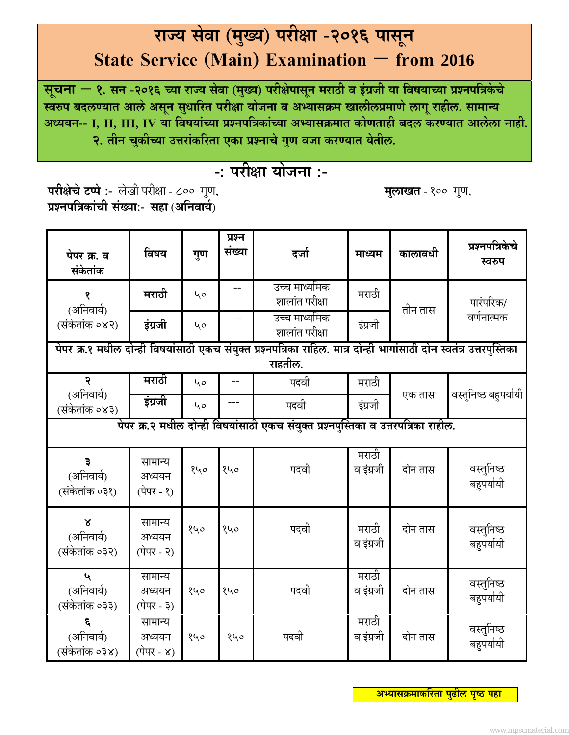# **रा¶य सेवा (म°य ु ) परी©ा -2016 पासन ूState Service (Main) Examination – from 2016**

**सचना ू – 1. सन -2016 ´या रा¶य सेवा (म°यु ) परी©ेपासनू मराठी व इंĐजी या िवषया´या ĢÌनपिĝकेचे ÎवǗप बदल½यात आलेअसनू सधािरत ु परी©ा योजना व अÆयासĎम खालीलĢमाणेलागूराहील. सामाÂय अÁययन-- I, II, III, IV या िवषयां´या ĢÌनपिĝकां´या अÆयासĎमात कोणताही बदल कर½यात आलेला नाही. 2. तीन चकी´या ु उDŽरांकिरता एका ĢÌनाचेगणु वजा कर½यात येतील.**

# **-: परी©ा योजना :-**

**परी©ेचेटÃपे :-** लेखी परी©ा - 800 गणु , **मलाखत ु** - 100 गणु , **ĢÌनपिĝकांची सं°या:- सहा** (**अिनवाय«**)

| पेपर क्र. व<br>संकेतांक                                                            | विषय                                                                                                                 | गुण | प्रश्न<br>संख्या | दर्जा                           | माध्यम             | कालावधी | प्रश्नपत्रिकेचे<br>स्वरुप |  |  |
|------------------------------------------------------------------------------------|----------------------------------------------------------------------------------------------------------------------|-----|------------------|---------------------------------|--------------------|---------|---------------------------|--|--|
| १<br>(अनिवार्य)                                                                    | मराठी                                                                                                                | 40  | --               | उच्च माध्यमिक<br>शालांत परीक्षा | मराठी              | तीन तास | पारंपरिक/                 |  |  |
| (संकेतांक ०४२)                                                                     | इंग्रजी                                                                                                              | 40  |                  | उच्च माध्यमिक<br>शालांत परीक्षा | इंग्रजी            |         | वर्णनात्मक                |  |  |
|                                                                                    | पेपर क्र.१ मधील दोन्ही विषयांसाठी एकच संयुक्त प्रश्नपत्रिका राहिल. मात्र दोन्ही भागांसाठी दोन स्वतंत्र उत्तरपुस्तिका |     |                  |                                 |                    |         |                           |  |  |
|                                                                                    |                                                                                                                      |     |                  | राहतील.                         |                    |         |                           |  |  |
| २                                                                                  | मराठी                                                                                                                | 40  |                  | पदवी                            | मराठी              |         |                           |  |  |
| (अनिवार्य)<br>(संकेतांक ०४३)                                                       | इंग्रजी                                                                                                              | 40  |                  | पदवी                            | इंग्रजी            | एक तास  | वस्तुनिष्ठ बहुपर्यायी     |  |  |
| पेपर क्र.२ मधील दोन्ही विषयांसाठी एकच संयुक्त प्रश्नपुस्तिका व उत्तरपत्रिका राहील. |                                                                                                                      |     |                  |                                 |                    |         |                           |  |  |
| ३<br>(अनिवार्य)<br>(संकेतांक ०३१)                                                  | सामान्य<br>अध्ययन<br><b>(पेपर - १)</b>                                                                               | १५० | १५०              | पदवी                            | मराठी<br>व इंग्रजी | दोन तास | वस्तुनिष्ठ<br>बहुपर्यायी  |  |  |
| $\mathbf{X}$<br>(अनिवार्य)<br>(संकेतांक ०३२)                                       | सामान्य<br>अध्ययन<br><b>(पेपर - २)</b>                                                                               | १५० | १५०              | पदवी                            | मराठी<br>व इंग्रजी | दोन तास | वस्तुनिष्ठ<br>बहुपर्यायी  |  |  |
| $\mathbf{u}$<br>(अनिवार्य)<br>(संकेतांक ०३३)                                       | सामान्य<br>अध्ययन<br>(पेपर - ३)                                                                                      | १५० | १५०              | पदवी                            | मराठी<br>व इंग्रजी | दोन तास | वस्तुनिष्ठ<br>बहुपर्यायी  |  |  |
| ξ<br>(अनिवार्य)<br>(संकेतांक ०३४)                                                  | सामान्य<br>अध्ययन<br>(पेपर - ४)                                                                                      | १५० | १५०              | पदवी                            | मराठी<br>व इंग्रजी | दोन तास | वस्तुनिष्ठ<br>बहुपर्यायी  |  |  |

 **अÆयासĎमाकिरता पढु ील पÍठृ पहा**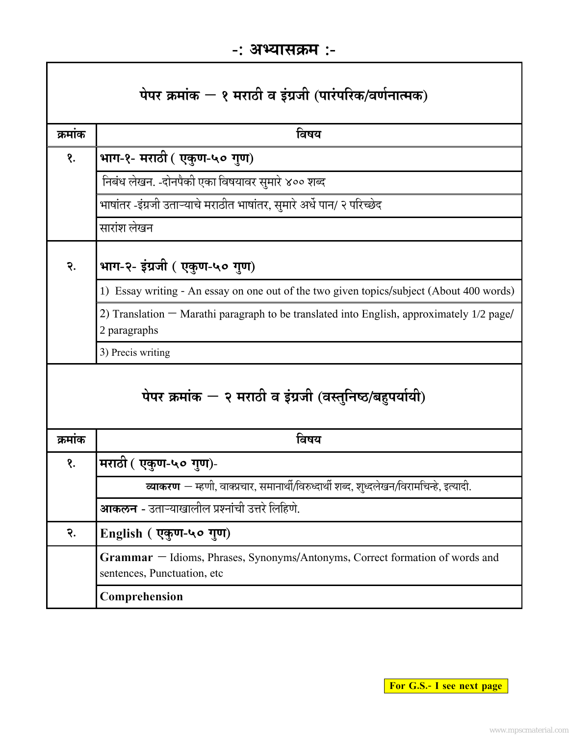| पेपर क्रमांक $-$ १ मराठी व इंग्रजी (पारंपरिक/वर्णनात्मक) |                                                                                                               |  |  |  |  |  |
|----------------------------------------------------------|---------------------------------------------------------------------------------------------------------------|--|--|--|--|--|
| क्रमांक                                                  | विषय                                                                                                          |  |  |  |  |  |
| १.                                                       | भाग-१- मराठी ( एकुण-५० गुण)                                                                                   |  |  |  |  |  |
|                                                          | निबंध लेखन. -दोनपैकी एका विषयावर सुमारे ४०० शब्द                                                              |  |  |  |  |  |
|                                                          | भाषांतर -इंग्रजी उताऱ्याचे मराठीत भाषांतर, सुमारे अर्धे पान/ २ परिच्छेद                                       |  |  |  |  |  |
|                                                          | सारांश लेखन                                                                                                   |  |  |  |  |  |
| २.                                                       | भाग-२- इंग्रजी ( एकुण-५० गुण)                                                                                 |  |  |  |  |  |
|                                                          | 1) Essay writing - An essay on one out of the two given topics/subject (About 400 words)                      |  |  |  |  |  |
|                                                          | 2) Translation $-$ Marathi paragraph to be translated into English, approximately $1/2$ page/<br>2 paragraphs |  |  |  |  |  |
|                                                          | 3) Precis writing                                                                                             |  |  |  |  |  |
| पेपर क्रमांक - २ मराठी व इंग्रजी (वस्तुनिष्ठ/बहुपर्यायी) |                                                                                                               |  |  |  |  |  |
| क्रमांक                                                  | विषय                                                                                                          |  |  |  |  |  |
| १.                                                       | मराठी ( एकुण-५० गुण)-                                                                                         |  |  |  |  |  |
|                                                          | <b>व्याकरण</b> — म्हणी, वाक्प्रचार, समानार्थी/विरुध्दार्थी शब्द, शुध्दलेखन/विरामचिन्हे, इत्यादी.              |  |  |  |  |  |
|                                                          | <b>आकलन</b> - उताऱ्याखालील प्रश्नांची उत्तरे लिहिणे.                                                          |  |  |  |  |  |
| २.                                                       | English (एकुण-५० गुण)                                                                                         |  |  |  |  |  |
|                                                          | Grammar - Idioms, Phrases, Synonyms/Antonyms, Correct formation of words and<br>sentences, Punctuation, etc   |  |  |  |  |  |
|                                                          | Comprehension                                                                                                 |  |  |  |  |  |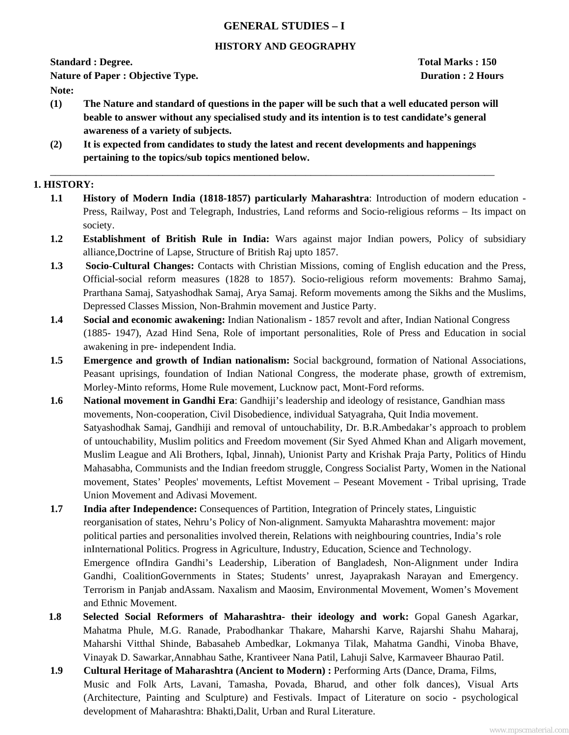## **GENERAL STUDIES – I**

## **HISTORY AND GEOGRAPHY**

**Nature of Paper : Objective Type. Duration : 2 Hours Duration : 2 Hours** 

**Note:** 

**(1) The Nature and standard of questions in the paper will be such that a well educated person will beable to answer without any specialised study and its intention is to test candidate's general awareness of a variety of subjects.** 

\_\_\_\_\_\_\_\_\_\_\_\_\_\_\_\_\_\_\_\_\_\_\_\_\_\_\_\_\_\_\_\_\_\_\_\_\_\_\_\_\_\_\_\_\_\_\_\_\_\_\_\_\_\_\_\_\_\_\_\_\_\_\_\_\_\_\_\_\_\_\_\_\_\_\_\_\_\_\_\_\_\_\_\_\_\_\_

**(2) It is expected from candidates to study the latest and recent developments and happenings pertaining to the topics/sub topics mentioned below.** 

## **1. HISTORY:**

- **1.1 History of Modern India (1818-1857) particularly Maharashtra**: Introduction of modern education Press, Railway, Post and Telegraph, Industries, Land reforms and Socio-religious reforms – Its impact on society.
- **1.2 Establishment of British Rule in India:** Wars against major Indian powers, Policy of subsidiary alliance,Doctrine of Lapse, Structure of British Raj upto 1857.
- **1.3 Socio-Cultural Changes:** Contacts with Christian Missions, coming of English education and the Press, Official-social reform measures (1828 to 1857). Socio-religious reform movements: Brahmo Samaj, Prarthana Samaj, Satyashodhak Samaj, Arya Samaj. Reform movements among the Sikhs and the Muslims, Depressed Classes Mission, Non-Brahmin movement and Justice Party.
- **1.4 Social and economic awakening:** Indian Nationalism 1857 revolt and after, Indian National Congress (1885- 1947), Azad Hind Sena, Role of important personalities, Role of Press and Education in social awakening in pre- independent India.
- **1.5 Emergence and growth of Indian nationalism:** Social background, formation of National Associations, Peasant uprisings, foundation of Indian National Congress, the moderate phase, growth of extremism, Morley-Minto reforms, Home Rule movement, Lucknow pact, Mont-Ford reforms.
- **1.6** National movement in Gandhi Era: Gandhiji's leadership and ideology of resistance, Gandhian mass movements, Non-cooperation, Civil Disobedience, individual Satyagraha, Quit India movement. Satyashodhak Samaj, Gandhiji and removal of untouchability, Dr. B.R.Ambedakar's approach to problem of untouchability, Muslim politics and Freedom movement (Sir Syed Ahmed Khan and Aligarh movement, Muslim League and Ali Brothers, Iqbal, Jinnah), Unionist Party and Krishak Praja Party, Politics of Hindu Mahasabha, Communists and the Indian freedom struggle, Congress Socialist Party, Women in the National movement, States' Peoples' movements, Leftist Movement – Peseant Movement - Tribal uprising, Trade Union Movement and Adivasi Movement.
- **1.7 India after Independence:** Consequences of Partition, Integration of Princely states, Linguistic reorganisation of states, Nehru's Policy of Non-alignment. Samyukta Maharashtra movement: major political parties and personalities involved therein, Relations with neighbouring countries, India's role inInternational Politics. Progress in Agriculture, Industry, Education, Science and Technology. Emergence ofIndira Gandhi's Leadership, Liberation of Bangladesh, Non-Alignment under Indira Gandhi, CoalitionGovernments in States; Students' unrest, Jayaprakash Narayan and Emergency. Terrorism in Panjab andAssam. Naxalism and Maosim, Environmental Movement, Women's Movement and Ethnic Movement.
- **1.8 Selected Social Reformers of Maharashtra- their ideology and work:** Gopal Ganesh Agarkar, Mahatma Phule, M.G. Ranade, Prabodhankar Thakare, Maharshi Karve, Rajarshi Shahu Maharaj, Maharshi Vitthal Shinde, Babasaheb Ambedkar, Lokmanya Tilak, Mahatma Gandhi, Vinoba Bhave, Vinayak D. Sawarkar,Annabhau Sathe, Krantiveer Nana Patil, Lahuji Salve, Karmaveer Bhaurao Patil.
- **1.9 Cultural Heritage of Maharashtra (Ancient to Modern) :** Performing Arts (Dance, Drama, Films, Music and Folk Arts, Lavani, Tamasha, Povada, Bharud, and other folk dances), Visual Arts (Architecture, Painting and Sculpture) and Festivals. Impact of Literature on socio - psychological development of Maharashtra: Bhakti,Dalit, Urban and Rural Literature.

**Standard : Degree. Total Marks : 150**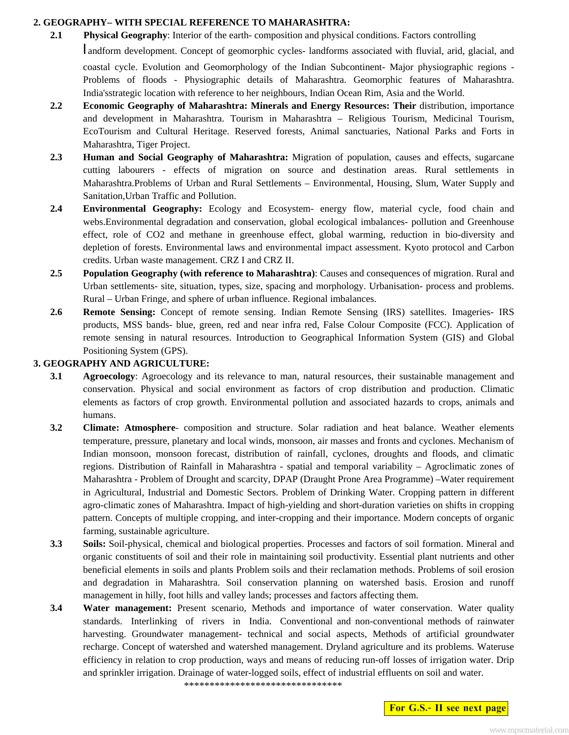#### **2. GEOGRAPHY– WITH SPECIAL REFERENCE TO MAHARASHTRA:**

**2.1** Physical Geography: Interior of the earth- composition and physical conditions. Factors controlling

l andform development. Concept of geomorphic cycles- landforms associated with fluvial, arid, glacial, and coastal cycle. Evolution and Geomorphology of the Indian Subcontinent- Major physiographic regions - Problems of floods - Physiographic details of Maharashtra. Geomorphic features of Maharashtra. India'sstrategic location with reference to her neighbours, Indian Ocean Rim, Asia and the World.

- **2.2 Economic Geography of Maharashtra: Minerals and Energy Resources: Their** distribution, importance and development in Maharashtra. Tourism in Maharashtra – Religious Tourism, Medicinal Tourism, EcoTourism and Cultural Heritage. Reserved forests, Animal sanctuaries, National Parks and Forts in Maharashtra, Tiger Project.
- **2.3 Human and Social Geography of Maharashtra:** Migration of population, causes and effects, sugarcane cutting labourers - effects of migration on source and destination areas. Rural settlements in Maharashtra.Problems of Urban and Rural Settlements – Environmental, Housing, Slum, Water Supply and Sanitation,Urban Traffic and Pollution.
- **2.4 Environmental Geography:** Ecology and Ecosystem- energy flow, material cycle, food chain and webs.Environmental degradation and conservation, global ecological imbalances- pollution and Greenhouse effect, role of CO2 and methane in greenhouse effect, global warming, reduction in bio-diversity and depletion of forests. Environmental laws and environmental impact assessment. Kyoto protocol and Carbon credits. Urban waste management. CRZ I and CRZ II.
- **2.5 Population Geography (with reference to Maharashtra)**: Causes and consequences of migration. Rural and Urban settlements- site, situation, types, size, spacing and morphology. Urbanisation- process and problems. Rural – Urban Fringe, and sphere of urban influence. Regional imbalances.
- **2.6 Remote Sensing:** Concept of remote sensing. Indian Remote Sensing (IRS) satellites. Imageries- IRS products, MSS bands- blue, green, red and near infra red, False Colour Composite (FCC). Application of remote sensing in natural resources. Introduction to Geographical Information System (GIS) and Global Positioning System (GPS).

#### **3. GEOGRAPHY AND AGRICULTURE:**

- **3.1 Agroecology:** Agroecology and its relevance to man, natural resources, their sustainable management and conservation. Physical and social environment as factors of crop distribution and production. Climatic elements as factors of crop growth. Environmental pollution and associated hazards to crops, animals and humans.
- **3.2 Climate: Atmosphere** composition and structure. Solar radiation and heat balance. Weather elements temperature, pressure, planetary and local winds, monsoon, air masses and fronts and cyclones. Mechanism of Indian monsoon, monsoon forecast, distribution of rainfall, cyclones, droughts and floods, and climatic regions. Distribution of Rainfall in Maharashtra - spatial and temporal variability – Agroclimatic zones of Maharashtra - Problem of Drought and scarcity, DPAP (Draught Prone Area Programme) –Water requirement in Agricultural, Industrial and Domestic Sectors. Problem of Drinking Water. Cropping pattern in different agro-climatic zones of Maharashtra. Impact of high-yielding and short-duration varieties on shifts in cropping pattern. Concepts of multiple cropping, and inter-cropping and their importance. Modern concepts of organic farming, sustainable agriculture.
- **3.3 Soils:** Soil-physical, chemical and biological properties. Processes and factors of soil formation. Mineral and organic constituents of soil and their role in maintaining soil productivity. Essential plant nutrients and other beneficial elements in soils and plants Problem soils and their reclamation methods. Problems of soil erosion and degradation in Maharashtra. Soil conservation planning on watershed basis. Erosion and runoff management in hilly, foot hills and valley lands; processes and factors affecting them.
- **3.4 Water management:** Present scenario, Methods and importance of water conservation. Water quality standards. Interlinking of rivers in India. Conventional and non-conventional methods of rainwater harvesting. Groundwater management- technical and social aspects, Methods of artificial groundwater recharge. Concept of watershed and watershed management. Dryland agriculture and its problems. Wateruse efficiency in relation to crop production, ways and means of reducing run-off losses of irrigation water. Drip and sprinkler irrigation. Drainage of water-logged soils, effect of industrial effluents on soil and water.

\*\*\*\*\*\*\*\*\*\*\*\*\*\*\*\*\*\*\*\*\*\*\*\*\*\*\*\*\*\*\*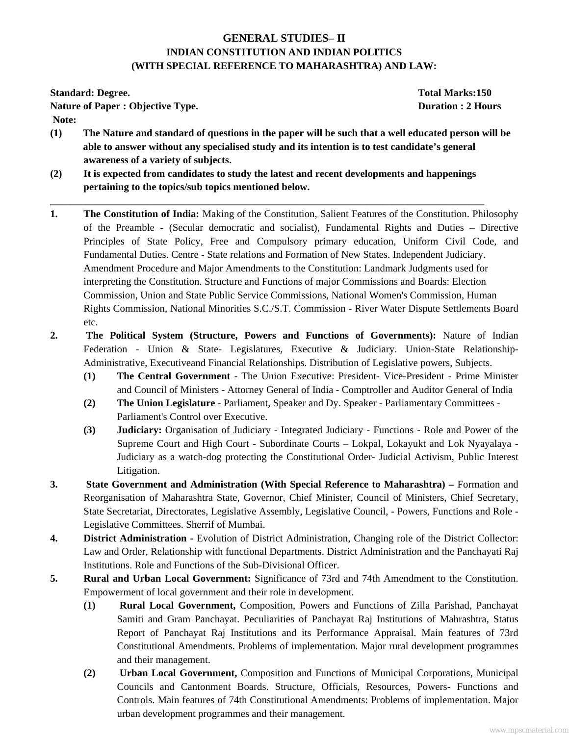## **GENERAL STUDIES– II INDIAN CONSTITUTION AND INDIAN POLITICS (WITH SPECIAL REFERENCE TO MAHARASHTRA) AND LAW:**

**Standard: Degree. Total Marks:150** 

**Nature of Paper : Objective Type.** Duration : 2 Hours **Duration : 2 Hours** 

 **Note:** 

- **(1) The Nature and standard of questions in the paper will be such that a well educated person will be able to answer without any specialised study and its intention is to test candidate's general awareness of a variety of subjects.**
- **(2) It is expected from candidates to study the latest and recent developments and happenings pertaining to the topics/sub topics mentioned below.**

**\_\_\_\_\_\_\_\_\_\_\_\_\_\_\_\_\_\_\_\_\_\_\_\_\_\_\_\_\_\_\_\_\_\_\_\_\_\_\_\_\_\_\_\_\_\_\_\_\_\_\_\_\_\_\_\_\_\_\_\_\_\_\_\_\_\_\_\_\_\_\_\_\_\_\_\_\_\_\_\_\_\_\_\_\_** 

- **1. The Constitution of India:** Making of the Constitution, Salient Features of the Constitution. Philosophy of the Preamble - (Secular democratic and socialist), Fundamental Rights and Duties – Directive Principles of State Policy, Free and Compulsory primary education, Uniform Civil Code, and Fundamental Duties. Centre - State relations and Formation of New States. Independent Judiciary. Amendment Procedure and Major Amendments to the Constitution: Landmark Judgments used for interpreting the Constitution. Structure and Functions of major Commissions and Boards: Election Commission, Union and State Public Service Commissions, National Women's Commission, Human Rights Commission, National Minorities S.C./S.T. Commission - River Water Dispute Settlements Board etc.
- **2. The Political System (Structure, Powers and Functions of Governments):** Nature of Indian Federation - Union & State- Legislatures, Executive & Judiciary. Union-State Relationship-Administrative, Executiveand Financial Relationships. Distribution of Legislative powers, Subjects.
	- **(1) The Central Government** The Union Executive: President- Vice-President Prime Minister and Council of Ministers - Attorney General of India - Comptroller and Auditor General of India
	- **(2) The Union Legislature -** Parliament, Speaker and Dy. Speaker Parliamentary Committees Parliament's Control over Executive.
	- **(3) Judiciary:** Organisation of Judiciary Integrated Judiciary Functions Role and Power of the Supreme Court and High Court - Subordinate Courts – Lokpal, Lokayukt and Lok Nyayalaya - Judiciary as a watch-dog protecting the Constitutional Order- Judicial Activism, Public Interest Litigation.
- **3. State Government and Administration (With Special Reference to Maharashtra) –** Formation and Reorganisation of Maharashtra State, Governor, Chief Minister, Council of Ministers, Chief Secretary, State Secretariat, Directorates, Legislative Assembly, Legislative Council, - Powers, Functions and Role - Legislative Committees. Sherrif of Mumbai.
- **4. District Administration -** Evolution of District Administration, Changing role of the District Collector: Law and Order, Relationship with functional Departments. District Administration and the Panchayati Raj Institutions. Role and Functions of the Sub-Divisional Officer.
- **5. Rural and Urban Local Government:** Significance of 73rd and 74th Amendment to the Constitution. Empowerment of local government and their role in development.
	- **(1) Rural Local Government,** Composition, Powers and Functions of Zilla Parishad, Panchayat Samiti and Gram Panchayat. Peculiarities of Panchayat Raj Institutions of Mahrashtra, Status Report of Panchayat Raj Institutions and its Performance Appraisal. Main features of 73rd Constitutional Amendments. Problems of implementation. Major rural development programmes and their management.
	- **(2) Urban Local Government,** Composition and Functions of Municipal Corporations, Municipal Councils and Cantonment Boards. Structure, Officials, Resources, Powers- Functions and Controls. Main features of 74th Constitutional Amendments: Problems of implementation. Major urban development programmes and their management.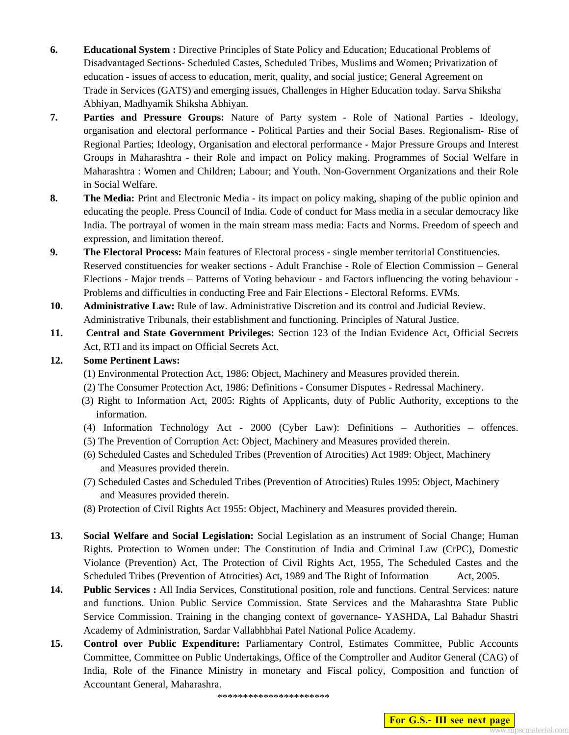- **6. Educational System :** Directive Principles of State Policy and Education; Educational Problems of Disadvantaged Sections- Scheduled Castes, Scheduled Tribes, Muslims and Women; Privatization of education - issues of access to education, merit, quality, and social justice; General Agreement on Trade in Services (GATS) and emerging issues, Challenges in Higher Education today. Sarva Shiksha Abhiyan, Madhyamik Shiksha Abhiyan.
- **7. Parties and Pressure Groups:** Nature of Party system Role of National Parties Ideology, organisation and electoral performance - Political Parties and their Social Bases. Regionalism- Rise of Regional Parties; Ideology, Organisation and electoral performance - Major Pressure Groups and Interest Groups in Maharashtra - their Role and impact on Policy making. Programmes of Social Welfare in Maharashtra : Women and Children; Labour; and Youth. Non-Government Organizations and their Role in Social Welfare.
- **8.** The Media: Print and Electronic Media its impact on policy making, shaping of the public opinion and educating the people. Press Council of India. Code of conduct for Mass media in a secular democracy like India. The portrayal of women in the main stream mass media: Facts and Norms. Freedom of speech and expression, and limitation thereof.
- **9.** The Electoral Process: Main features of Electoral process single member territorial Constituencies. Reserved constituencies for weaker sections - Adult Franchise - Role of Election Commission – General Elections - Major trends – Patterns of Voting behaviour - and Factors influencing the voting behaviour - Problems and difficulties in conducting Free and Fair Elections - Electoral Reforms. EVMs.
- **10. Administrative Law:** Rule of law. Administrative Discretion and its control and Judicial Review. Administrative Tribunals, their establishment and functioning. Principles of Natural Justice.
- **11. Central and State Government Privileges:** Section 123 of the Indian Evidence Act, Official Secrets Act, RTI and its impact on Official Secrets Act.

## **12. Some Pertinent Laws:**

- (1) Environmental Protection Act, 1986: Object, Machinery and Measures provided therein.
- (2) The Consumer Protection Act, 1986: Definitions Consumer Disputes Redressal Machinery.
- (3) Right to Information Act, 2005: Rights of Applicants, duty of Public Authority, exceptions to the information.
- (4) Information Technology Act 2000 (Cyber Law): Definitions Authorities offences.
- (5) The Prevention of Corruption Act: Object, Machinery and Measures provided therein.
- (6) Scheduled Castes and Scheduled Tribes (Prevention of Atrocities) Act 1989: Object, Machinery and Measures provided therein.
- (7) Scheduled Castes and Scheduled Tribes (Prevention of Atrocities) Rules 1995: Object, Machinery and Measures provided therein.
- (8) Protection of Civil Rights Act 1955: Object, Machinery and Measures provided therein.
- **13. Social Welfare and Social Legislation:** Social Legislation as an instrument of Social Change; Human Rights. Protection to Women under: The Constitution of India and Criminal Law (CrPC), Domestic Violance (Prevention) Act, The Protection of Civil Rights Act, 1955, The Scheduled Castes and the Scheduled Tribes (Prevention of Atrocities) Act, 1989 and The Right of Information Act, 2005.
- **14. Public Services :** All India Services, Constitutional position, role and functions. Central Services: nature and functions. Union Public Service Commission. State Services and the Maharashtra State Public Service Commission. Training in the changing context of governance- YASHDA, Lal Bahadur Shastri Academy of Administration, Sardar Vallabhbhai Patel National Police Academy.
- **15. Control over Public Expenditure:** Parliamentary Control, Estimates Committee, Public Accounts Committee, Committee on Public Undertakings, Office of the Comptroller and Auditor General (CAG) of India, Role of the Finance Ministry in monetary and Fiscal policy, Composition and function of Accountant General, Maharashra.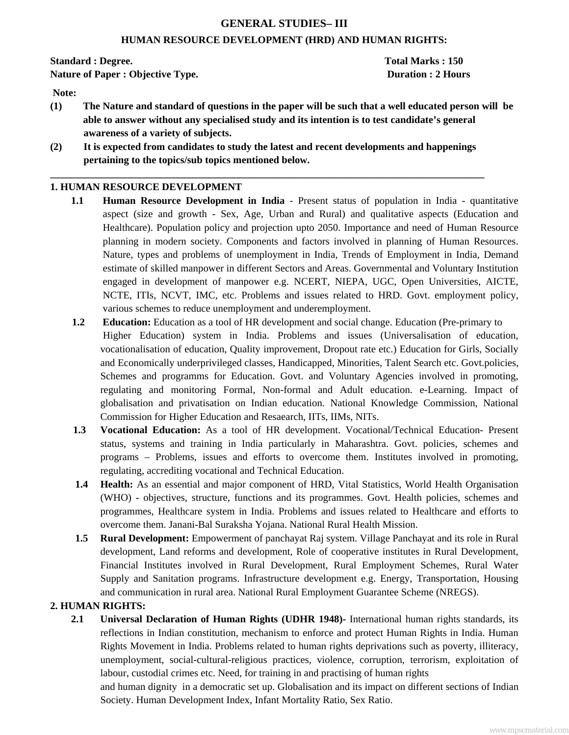## **GENERAL STUDIES– III**

#### **HUMAN RESOURCE DEVELOPMENT (HRD) AND HUMAN RIGHTS:**

**Standard : Degree. Total Marks : 150** 

**Nature of Paper : Objective Type. Duration : 2 Hours Duration : 2 Hours** 

 **Note:** 

- **(1) The Nature and standard of questions in the paper will be such that a well educated person will be able to answer without any specialised study and its intention is to test candidate's general awareness of a variety of subjects.**
- **(2) It is expected from candidates to study the latest and recent developments and happenings pertaining to the topics/sub topics mentioned below.**

**\_\_\_\_\_\_\_\_\_\_\_\_\_\_\_\_\_\_\_\_\_\_\_\_\_\_\_\_\_\_\_\_\_\_\_\_\_\_\_\_\_\_\_\_\_\_\_\_\_\_\_\_\_\_\_\_\_\_\_\_\_\_\_\_\_\_\_\_\_\_\_\_\_\_\_\_\_\_\_\_\_\_\_\_\_** 

## **1. HUMAN RESOURCE DEVELOPMENT**

- **1.1 Human Resource Development in India** Present status of population in India quantitative aspect (size and growth - Sex, Age, Urban and Rural) and qualitative aspects (Education and Healthcare). Population policy and projection upto 2050. Importance and need of Human Resource planning in modern society. Components and factors involved in planning of Human Resources. Nature, types and problems of unemployment in India, Trends of Employment in India, Demand estimate of skilled manpower in different Sectors and Areas. Governmental and Voluntary Institution engaged in development of manpower e.g. NCERT, NIEPA, UGC, Open Universities, AICTE, NCTE, ITIs, NCVT, IMC, etc. Problems and issues related to HRD. Govt. employment policy, various schemes to reduce unemployment and underemployment.
- **1.2 Education:** Education as a tool of HR development and social change. Education (Pre-primary to Higher Education) system in India. Problems and issues (Universalisation of education, vocationalisation of education, Quality improvement, Dropout rate etc.) Education for Girls, Socially and Economically underprivileged classes, Handicapped, Minorities, Talent Search etc. Govt.policies, Schemes and programms for Education. Govt. and Voluntary Agencies involved in promoting, regulating and monitoring Formal, Non-formal and Adult education. e-Learning. Impact of globalisation and privatisation on Indian education. National Knowledge Commission, National Commission for Higher Education and Resaearch, IITs, IIMs, NITs.
- **1.3 Vocational Education:** As a tool of HR development. Vocational/Technical Education- Present status, systems and training in India particularly in Maharashtra. Govt. policies, schemes and programs – Problems, issues and efforts to overcome them. Institutes involved in promoting, regulating, accrediting vocational and Technical Education.
- **1.4 Health:** As an essential and major component of HRD, Vital Statistics, World Health Organisation (WHO) - objectives, structure, functions and its programmes. Govt. Health policies, schemes and programmes, Healthcare system in India. Problems and issues related to Healthcare and efforts to overcome them. Janani-Bal Suraksha Yojana. National Rural Health Mission.
- **1.5 Rural Development:** Empowerment of panchayat Raj system. Village Panchayat and its role in Rural development, Land reforms and development, Role of cooperative institutes in Rural Development, Financial Institutes involved in Rural Development, Rural Employment Schemes, Rural Water Supply and Sanitation programs. Infrastructure development e.g. Energy, Transportation, Housing and communication in rural area. National Rural Employment Guarantee Scheme (NREGS).

## **2. HUMAN RIGHTS:**

**2.1 Universal Declaration of Human Rights (UDHR 1948)-** International human rights standards, its reflections in Indian constitution, mechanism to enforce and protect Human Rights in India. Human Rights Movement in India. Problems related to human rights deprivations such as poverty, illiteracy, unemployment, social-cultural-religious practices, violence, corruption, terrorism, exploitation of labour, custodial crimes etc. Need, for training in and practising of human rights

 and human dignity in a democratic set up. Globalisation and its impact on different sections of Indian Society. Human Development Index, Infant Mortality Ratio, Sex Ratio.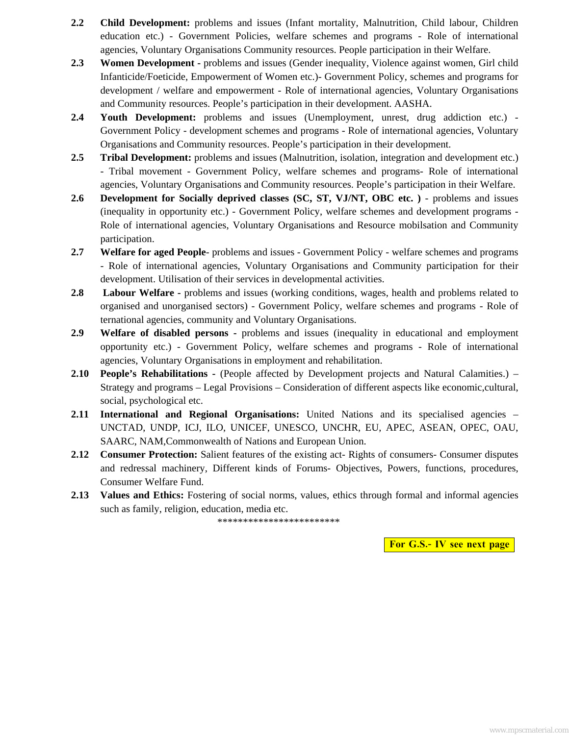- **2.2 Child Development:** problems and issues (Infant mortality, Malnutrition, Child labour, Children education etc.) - Government Policies, welfare schemes and programs - Role of international agencies, Voluntary Organisations Community resources. People participation in their Welfare.
- **2.3 Women Development -** problems and issues (Gender inequality, Violence against women, Girl child Infanticide/Foeticide, Empowerment of Women etc.)- Government Policy, schemes and programs for development / welfare and empowerment - Role of international agencies, Voluntary Organisations and Community resources. People's participation in their development. AASHA.
- **2.4 Youth Development:** problems and issues (Unemployment, unrest, drug addiction etc.) Government Policy - development schemes and programs - Role of international agencies, Voluntary Organisations and Community resources. People's participation in their development.
- **2.5 Tribal Development:** problems and issues (Malnutrition, isolation, integration and development etc.) - Tribal movement - Government Policy, welfare schemes and programs- Role of international agencies, Voluntary Organisations and Community resources. People's participation in their Welfare.
- 2.6 Development for Socially deprived classes (SC, ST, VJ/NT, OBC etc. ) problems and issues (inequality in opportunity etc.) - Government Policy, welfare schemes and development programs - Role of international agencies, Voluntary Organisations and Resource mobilsation and Community participation.
- **2.7 Welfare for aged People** problems and issues Government Policy welfare schemes and programs - Role of international agencies, Voluntary Organisations and Community participation for their development. Utilisation of their services in developmental activities.
- **2.8 Labour Welfare -** problems and issues (working conditions, wages, health and problems related to organised and unorganised sectors) - Government Policy, welfare schemes and programs - Role of ternational agencies, community and Voluntary Organisations.
- **2.9 Welfare of disabled persons** problems and issues (inequality in educational and employment opportunity etc.) - Government Policy, welfare schemes and programs - Role of international agencies, Voluntary Organisations in employment and rehabilitation.
- **2.10 People's Rehabilitations -** (People affected by Development projects and Natural Calamities.) Strategy and programs – Legal Provisions – Consideration of different aspects like economic,cultural, social, psychological etc.
- **2.11 International and Regional Organisations:** United Nations and its specialised agencies UNCTAD, UNDP, ICJ, ILO, UNICEF, UNESCO, UNCHR, EU, APEC, ASEAN, OPEC, OAU, SAARC, NAM,Commonwealth of Nations and European Union.
- **2.12 Consumer Protection:** Salient features of the existing act- Rights of consumers- Consumer disputes and redressal machinery, Different kinds of Forums- Objectives, Powers, functions, procedures, Consumer Welfare Fund.
- **2.13 Values and Ethics:** Fostering of social norms, values, ethics through formal and informal agencies such as family, religion, education, media etc.

\*\*\*\*\*\*\*\*\*\*\*\*\*\*\*\*\*\*\*\*\*\*\*\*

**For G.S.- IV see next page**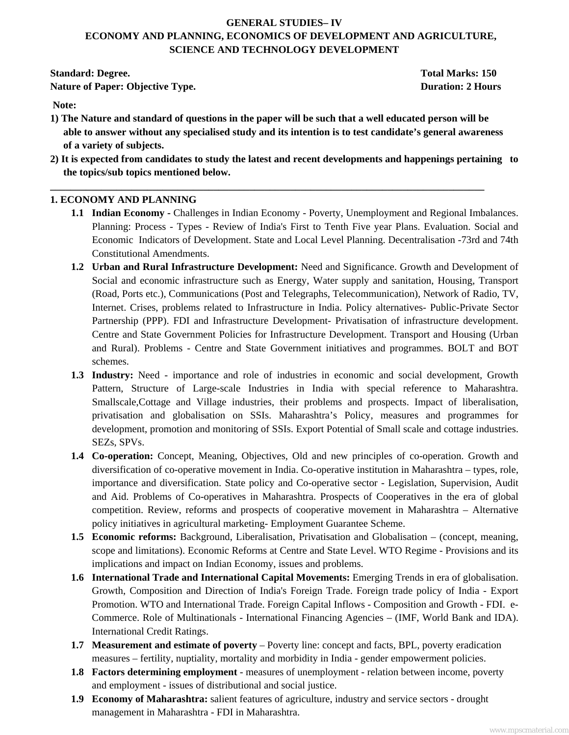## **GENERAL STUDIES– IV ECONOMY AND PLANNING, ECONOMICS OF DEVELOPMENT AND AGRICULTURE, SCIENCE AND TECHNOLOGY DEVELOPMENT**

**Standard: Degree.** Total Marks: 150 **Nature of Paper: Objective Type.** Duration: 2 Hours **Duration: 2 Hours** 

 **Note:** 

- **1) The Nature and standard of questions in the paper will be such that a well educated person will be able to answer without any specialised study and its intention is to test candidate's general awareness of a variety of subjects.**
- **2) It is expected from candidates to study the latest and recent developments and happenings pertaining to the topics/sub topics mentioned below.**

**\_\_\_\_\_\_\_\_\_\_\_\_\_\_\_\_\_\_\_\_\_\_\_\_\_\_\_\_\_\_\_\_\_\_\_\_\_\_\_\_\_\_\_\_\_\_\_\_\_\_\_\_\_\_\_\_\_\_\_\_\_\_\_\_\_\_\_\_\_\_\_\_\_\_\_\_\_\_\_\_\_\_\_\_\_** 

## **1. ECONOMY AND PLANNING**

- **1.1 Indian Economy -** Challenges in Indian Economy Poverty, Unemployment and Regional Imbalances. Planning: Process - Types - Review of India's First to Tenth Five year Plans. Evaluation. Social and Economic Indicators of Development. State and Local Level Planning. Decentralisation -73rd and 74th Constitutional Amendments.
- **1.2 Urban and Rural Infrastructure Development:** Need and Significance. Growth and Development of Social and economic infrastructure such as Energy, Water supply and sanitation, Housing, Transport (Road, Ports etc.), Communications (Post and Telegraphs, Telecommunication), Network of Radio, TV, Internet. Crises, problems related to Infrastructure in India. Policy alternatives- Public-Private Sector Partnership (PPP). FDI and Infrastructure Development- Privatisation of infrastructure development. Centre and State Government Policies for Infrastructure Development. Transport and Housing (Urban and Rural). Problems - Centre and State Government initiatives and programmes. BOLT and BOT schemes.
- **1.3 Industry:** Need importance and role of industries in economic and social development, Growth Pattern, Structure of Large-scale Industries in India with special reference to Maharashtra. Smallscale,Cottage and Village industries, their problems and prospects. Impact of liberalisation, privatisation and globalisation on SSIs. Maharashtra's Policy, measures and programmes for development, promotion and monitoring of SSIs. Export Potential of Small scale and cottage industries. SEZs, SPVs.
- **1.4 Co-operation:** Concept, Meaning, Objectives, Old and new principles of co-operation. Growth and diversification of co-operative movement in India. Co-operative institution in Maharashtra – types, role, importance and diversification. State policy and Co-operative sector - Legislation, Supervision, Audit and Aid. Problems of Co-operatives in Maharashtra. Prospects of Cooperatives in the era of global competition. Review, reforms and prospects of cooperative movement in Maharashtra – Alternative policy initiatives in agricultural marketing- Employment Guarantee Scheme.
- **1.5 Economic reforms:** Background, Liberalisation, Privatisation and Globalisation (concept, meaning, scope and limitations). Economic Reforms at Centre and State Level. WTO Regime - Provisions and its implications and impact on Indian Economy, issues and problems.
- **1.6 International Trade and International Capital Movements:** Emerging Trends in era of globalisation. Growth, Composition and Direction of India's Foreign Trade. Foreign trade policy of India - Export Promotion. WTO and International Trade. Foreign Capital Inflows - Composition and Growth - FDI. e-Commerce. Role of Multinationals - International Financing Agencies – (IMF, World Bank and IDA). International Credit Ratings.
- **1.7 Measurement and estimate of poverty**  Poverty line: concept and facts, BPL, poverty eradication measures – fertility, nuptiality, mortality and morbidity in India - gender empowerment policies.
- **1.8 Factors determining employment**  measures of unemployment relation between income, poverty and employment - issues of distributional and social justice.
- **1.9 Economy of Maharashtra:** salient features of agriculture, industry and service sectors drought management in Maharashtra - FDI in Maharashtra.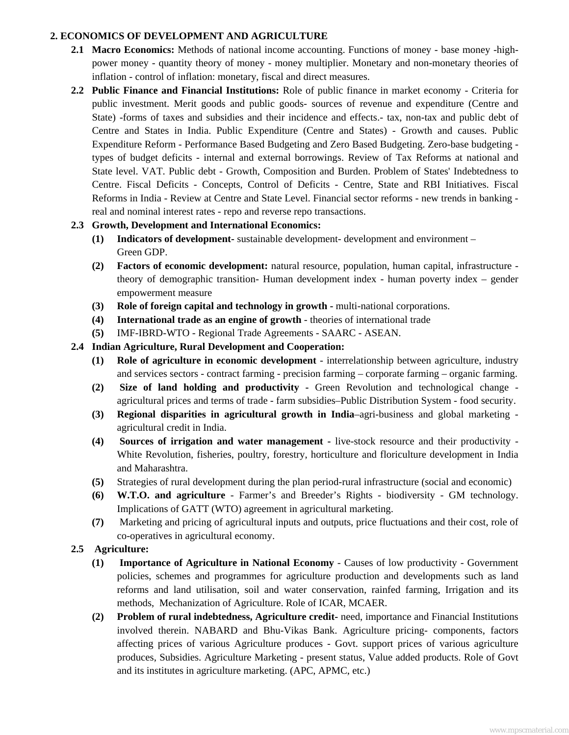### **2. ECONOMICS OF DEVELOPMENT AND AGRICULTURE**

- **2.1 Macro Economics:** Methods of national income accounting. Functions of money base money -highpower money - quantity theory of money - money multiplier. Monetary and non-monetary theories of inflation - control of inflation: monetary, fiscal and direct measures.
- **2.2 Public Finance and Financial Institutions:** Role of public finance in market economy Criteria for public investment. Merit goods and public goods- sources of revenue and expenditure (Centre and State) -forms of taxes and subsidies and their incidence and effects.- tax, non-tax and public debt of Centre and States in India. Public Expenditure (Centre and States) - Growth and causes. Public Expenditure Reform - Performance Based Budgeting and Zero Based Budgeting. Zero-base budgeting types of budget deficits - internal and external borrowings. Review of Tax Reforms at national and State level. VAT. Public debt - Growth, Composition and Burden. Problem of States' Indebtedness to Centre. Fiscal Deficits - Concepts, Control of Deficits - Centre, State and RBI Initiatives. Fiscal Reforms in India - Review at Centre and State Level. Financial sector reforms - new trends in banking real and nominal interest rates - repo and reverse repo transactions.

## **2.3 Growth, Development and International Economics:**

- **(1) Indicators of development-** sustainable development- development and environment Green GDP.
- **(2) Factors of economic development:** natural resource, population, human capital, infrastructure theory of demographic transition- Human development index - human poverty index – gender empowerment measure
- **(3) Role of foreign capital and technology in growth -** multi-national corporations.
- **(4) International trade as an engine of growth**  theories of international trade
- **(5)** IMF-IBRD-WTO Regional Trade Agreements SAARC ASEAN.

## **2.4 Indian Agriculture, Rural Development and Cooperation:**

- **(1) Role of agriculture in economic development** interrelationship between agriculture, industry and services sectors - contract farming - precision farming – corporate farming – organic farming.
- **(2) Size of land holding and productivity -** Green Revolution and technological change agricultural prices and terms of trade - farm subsidies–Public Distribution System - food security.
- **(3) Regional disparities in agricultural growth in India**–agri-business and global marketing agricultural credit in India.
- **(4) Sources of irrigation and water management -** live-stock resource and their productivity White Revolution, fisheries, poultry, forestry, horticulture and floriculture development in India and Maharashtra.
- **(5)** Strategies of rural development during the plan period-rural infrastructure (social and economic)
- **(6) W.T.O. and agriculture**  Farmer's and Breeder's Rights biodiversity GM technology. Implications of GATT (WTO) agreement in agricultural marketing.
- **(7)** Marketing and pricing of agricultural inputs and outputs, price fluctuations and their cost, role of co-operatives in agricultural economy.

## **2.5 Agriculture:**

- **(1) Importance of Agriculture in National Economy** Causes of low productivity Government policies, schemes and programmes for agriculture production and developments such as land reforms and land utilisation, soil and water conservation, rainfed farming, Irrigation and its methods, Mechanization of Agriculture. Role of ICAR, MCAER.
- **(2) Problem of rural indebtedness, Agriculture credit-** need, importance and Financial Institutions involved therein. NABARD and Bhu-Vikas Bank. Agriculture pricing- components, factors affecting prices of various Agriculture produces - Govt. support prices of various agriculture produces, Subsidies. Agriculture Marketing - present status, Value added products. Role of Govt and its institutes in agriculture marketing. (APC, APMC, etc.)